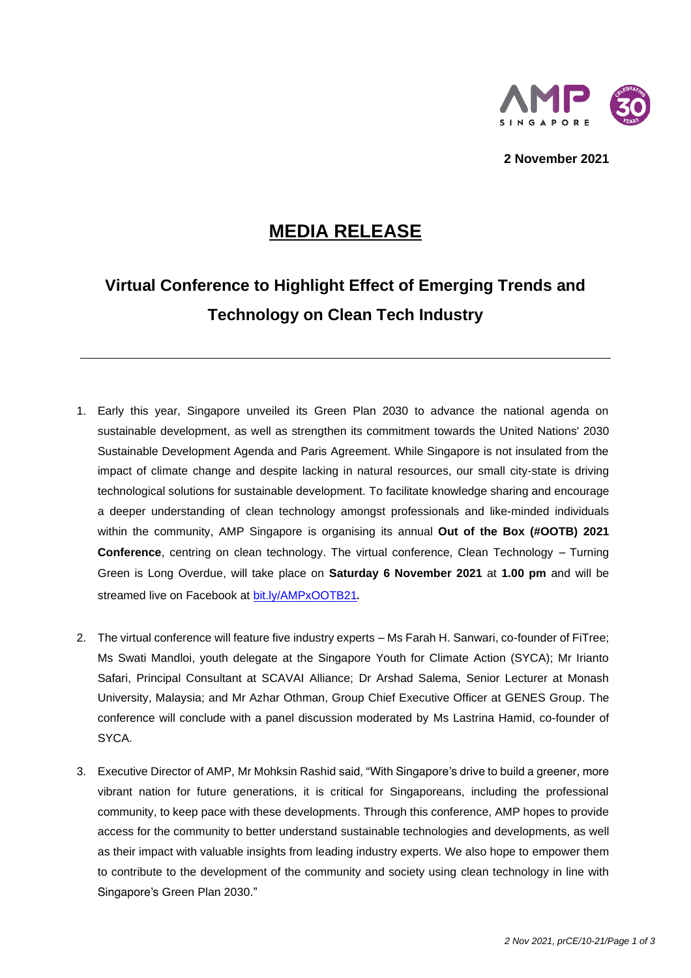

**2 November 2021**

## **MEDIA RELEASE**

# **Virtual Conference to Highlight Effect of Emerging Trends and Technology on Clean Tech Industry**

- 1. Early this year, Singapore unveiled its Green Plan 2030 to advance the national agenda on sustainable development, as well as strengthen its commitment towards the United Nations' 2030 Sustainable Development Agenda and Paris Agreement. While Singapore is not insulated from the impact of climate change and despite lacking in natural resources, our small city-state is driving technological solutions for sustainable development. To facilitate knowledge sharing and encourage a deeper understanding of clean technology amongst professionals and like-minded individuals within the community, AMP Singapore is organising its annual *Out of the Box (#OOTB) 2021 Conference*, centring on clean technology. The virtual conference, *Clean Technology – Turning Green is Long Overdue*, will take place on **Saturday 6 November 2021** at **1.00 pm** and will be streamed live on Facebook at [bit.ly/AMPxOOTB21](https://bit.ly/AMPxOOTB21).
- 2. The virtual conference will feature five industry experts Ms Farah H. Sanwari, co-founder of FiTree; Ms Swati Mandloi, youth delegate at the Singapore Youth for Climate Action (SYCA); Mr Irianto Safari, Principal Consultant at SCAVAI Alliance; Dr Arshad Salema, Senior Lecturer at Monash University, Malaysia; and Mr Azhar Othman, Group Chief Executive Officer at GENES Group. The conference will conclude with a panel discussion moderated by Ms Lastrina Hamid, co-founder of SYCA.
- 3. Executive Director of AMP, Mr Mohksin Rashid said, "With Singapore's drive to build a greener, more vibrant nation for future generations, it is critical for Singaporeans, including the professional community, to keep pace with these developments. Through this conference, AMP hopes to provide access for the community to better understand sustainable technologies and developments, as well as their impact with valuable insights from leading industry experts. We also hope to empower them to contribute to the development of the community and society using clean technology in line with Singapore's Green Plan 2030."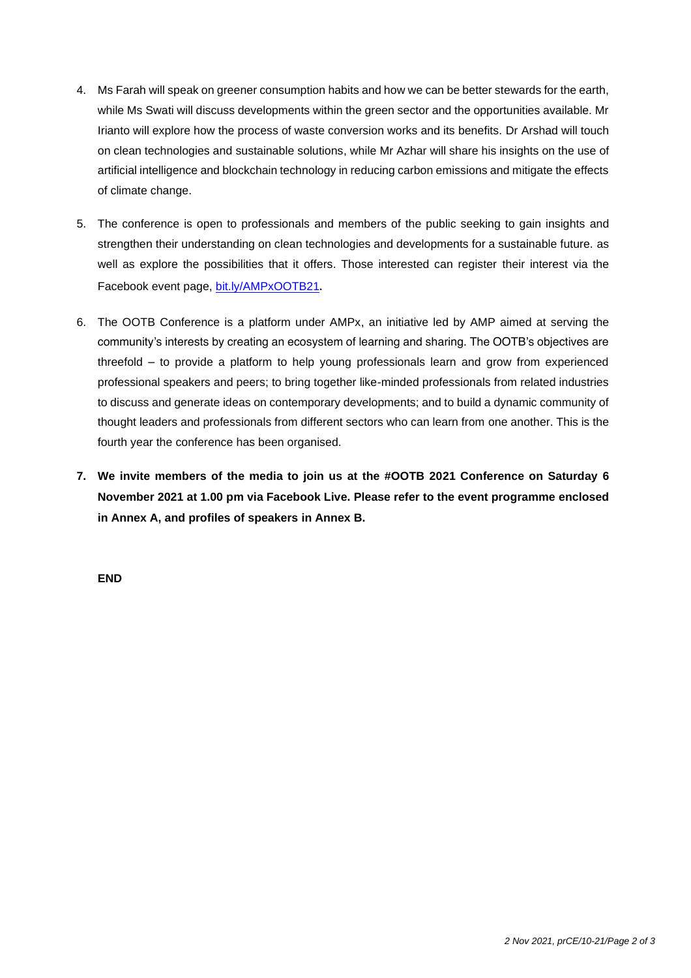- 4. Ms Farah will speak on greener consumption habits and how we can be better stewards for the earth, while Ms Swati will discuss developments within the green sector and the opportunities available. Mr Irianto will explore how the process of waste conversion works and its benefits. Dr Arshad will touch on clean technologies and sustainable solutions, while Mr Azhar will share his insights on the use of artificial intelligence and blockchain technology in reducing carbon emissions and mitigate the effects of climate change.
- 5. The conference is open to professionals and members of the public seeking to gain insights and strengthen their understanding on clean technologies and developments for a sustainable future. as well as explore the possibilities that it offers. Those interested can register their interest via the Facebook event page, [bit.ly/AMPxOOTB21](https://bit.ly/AMPxOOTB21).
- 6. The OOTB Conference is a platform under AMPx, an initiative led by AMP aimed at serving the community's interests by creating an ecosystem of learning and sharing. The OOTB's objectives are threefold – to provide a platform to help young professionals learn and grow from experienced professional speakers and peers; to bring together like-minded professionals from related industries to discuss and generate ideas on contemporary developments; and to build a dynamic community of thought leaders and professionals from different sectors who can learn from one another. This is the fourth year the conference has been organised.
- **7. We invite members of the media to join us at the #OOTB 2021 Conference on Saturday 6 November 2021 at 1.00 pm via Facebook Live. Please refer to the event programme enclosed in Annex A, and profiles of speakers in Annex B.**

**END**